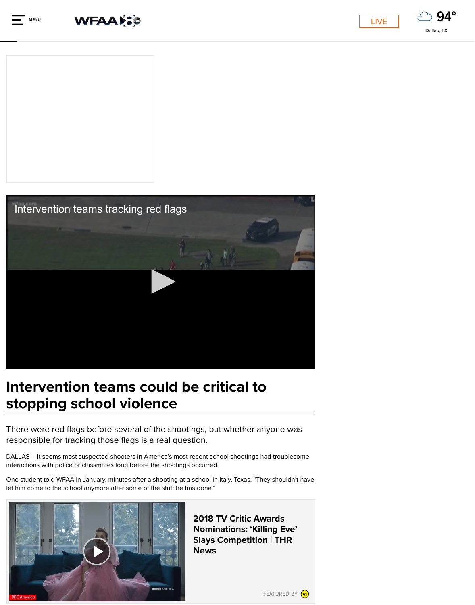

# Intervention teams could be critical stopping school violence

There were red flags before several of the shootings, but whethe responsible for tracking those flags is a real question.

DALLAS -- It seems most suspected shooters in America's most recent school shooting interactions with police or classmates long before the shootings occurred.

One student told WFAA in January, minutes after a shooting at a school in Italy, Texas, let him come to the school anymore after some of the stuff he has done."



2018 TV Critic Nominations: ' **Slays Competion** News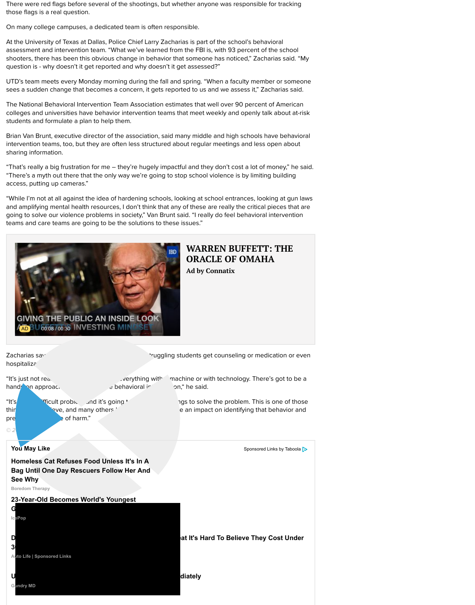

hospitalization

Zacharias says every week, the UTD team helps students get counseling or medication or  $\sim$  medication or even

"It's just not realistic realistic to approach everything with a machine or with technology. hands on approach, there is got to behavioral intervention," he said.

pre**vention the contract of harm."** 

"It's a very difficult problem and it's going the solve the problem. thin I believe, and many others believe, can really have an impact on identifying

**You May Like** Sponsored Links by Taboola and Sponsored Links by Taboola and Sponsored Links by Taboola and Sponsored Links by Taboola and Sponsored Links by Taboola and Sponsored Links by Taboola and Sponsored Links and S

*© 2018 WFAA*

**Homeless Cat Refuses Food Unless It's In A Bag Until One Day Rescuers Follow Her And See Why**

**Boredom Therapy**

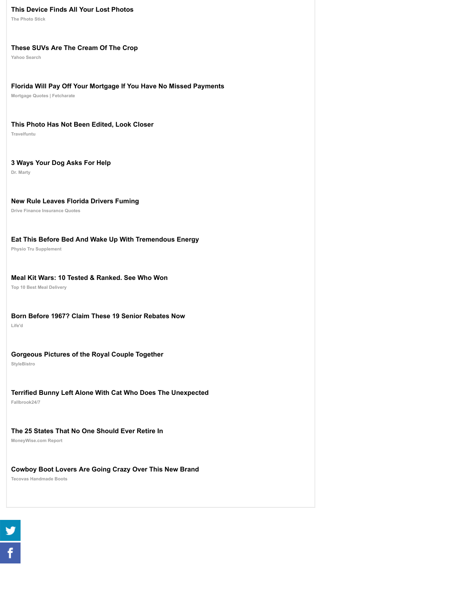#### **[Meal Kit Wars: 10 Tested & Ranked. See Who Won](http://clknext.com/path/lp.php?trvid=10299&trvx=b3fadd58&cid=154&utm_term=tegna-wfaa&taboolaclickid=CjBlYmYyMDViZS0wMjUxLTQ2MzYtOTMzYi1mMDVhYWViZDY0ZjktdHVjdDI2NjFjNmMSG21vYm54LWhlYXJ0aGVhbHRoZGFuZ2Vycy1zYw)**

**Top 10 Best Meal Delivery**

#### **[Born Before 1967? Claim These 19 Senior Rebates Now](https://v12.getphotostick.io/blog-photo-catastrophe-native/?gusalespopup=0&guheader=0)**

**Life'd**

## **[Gorgeous Pictures of the Royal Couple Together](http://ylnk.io/?campaign=us-tb-yg-suvs-web&adgroup=native&imp=46577&keyword=tegna-wfaa)**

**StyleBistro**

### **[Terrified Bunny Left Alone With Cat Who Does The Unexpected](https://www.fetcharate.com/pa/?tg_ref=t1febpron&pag_ref=tabhar&csg_ref=c_4140&camp_id=if_state_will_pay_off_your_mortgage_if_you_have_no_missed_payments&keyword=moneytower&sub2=tegna-wfaa&city=$%7Bcity:capitalized%7D$)**

**Fallbrook24/7**

### **[The 25 States That No One Should Ever Retire In](http://rwu51l9u.travelfuntu.com/entertainment/perfectly-timed-sports-photos/?utm_campaign=SAFE%20MSN%20Sport%20Winter%20-%20Desktop%20USA&utm_source=taboola&utm_medium=tegna-wfaa&utm_term=This+Photo+Has+Not+Been+Edited%2C+Look+Closer&utm_content=http%3A%2F%2Fcdn.taboola.com%2Flibtrc%2Fstatic%2Fthumbnails%2F9888df7988224019efe293970e85a592.jpg)**

**MoneyWise.com Report**

## **[Cowboy Boot Lovers Are Going Crazy Over This New Brand](http://drmartypets.com/cmd.php?ad=874199&utm_source=taboola&utm_medium=referral)**

**[Tecovas Handmade Boots](http://track.zaptrk22.com/15e179d9-e494-4304-8824-3875e788f0ed?utm_campaign=%7Bcampaign%7D&utm_site=tegna-wfaa&utm_thumbnail=http%3A%2F%2Fcdn.taboola.com%2Flibtrc%2Fstatic%2Fthumbnails%2F324092a3045d8410327e89416054d3d3.png&utm_title=New+Rule+Leaves+Florida+Drivers+Fuming&ang=ang1&angad=ad2&utm_source=taboola&utm_medium=referral)**

 $\frac{9}{6}$